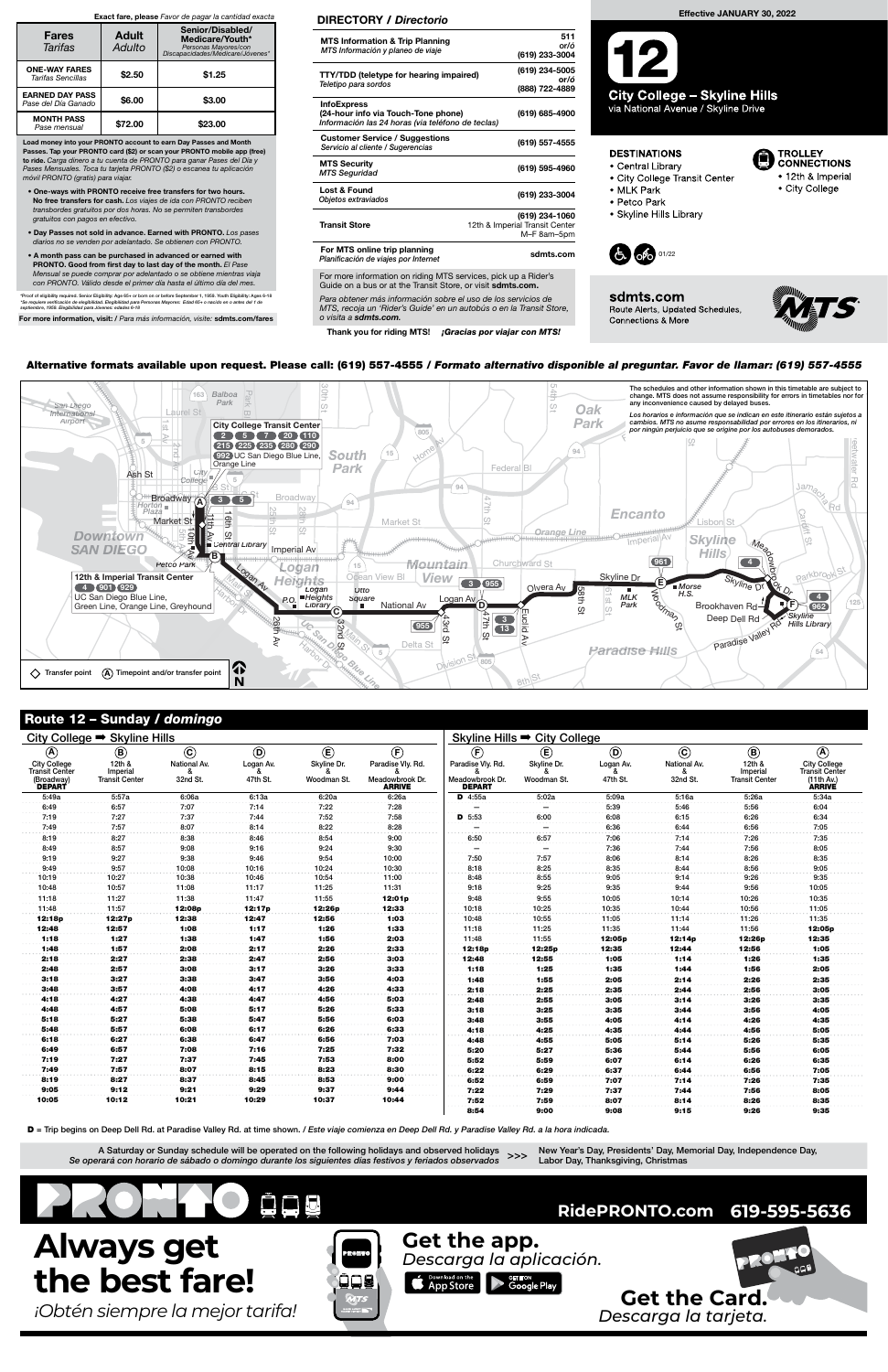## Route 12 – Sunday / domingo

New Year's Day, Presidents' Day, Memorial Day, Independence Day, >>> New Tear's Day, Presidents Day, Me<br>Labor Day, Thanksgiving, Christmas

| City College ➡ Skyline Hills        |                                   |              |                |                | Skyline Hills <sup>→</sup> City College |                           |                          |                |              |                                   |                                |
|-------------------------------------|-----------------------------------|--------------|----------------|----------------|-----------------------------------------|---------------------------|--------------------------|----------------|--------------|-----------------------------------|--------------------------------|
| $\circledA$                         | $^{\circledR}$                    | $\odot$      | $^{\circledR}$ | $^{\circledR}$ | (F)                                     | $\left(\mathsf{F}\right)$ | $^{\circledR}$           | $\circledcirc$ | $\odot$      | $\circledR$                       | $\bigcirc$                     |
| <b>City College</b>                 | 12th &                            | National Av. | Logan Av.      | Skyline Dr.    | Paradise Vly. Rd.                       | Paradise Vly. Rd.         | Skyline Dr.              | Logan Av.      | National Av. | 12th &                            | City College<br>Transit Center |
| <b>Transit Center</b><br>(Broadway) | Imperial<br><b>Transit Center</b> | 32nd St.     | 47th St.       | Woodman St.    | Meadowbrook Dr.                         | Meadowbrook Dr.           | Woodman St.              | 47th St.       | 32nd St.     | Imperial<br><b>Transit Center</b> | (11th Av.)                     |
| <b>DEPART</b>                       |                                   |              |                |                | <b>ARRIVE</b>                           | <b>DEPART</b>             |                          |                |              |                                   | <b>ARRIVE</b>                  |
| 5:49a                               | 5:57a                             | 6:06a        | 6:13a          | 6:20a          | 6:26a                                   | $D$ 4:55a                 | 5:02a                    | 5:09a          | 5:16a        | 5:26a                             | 5:34a                          |
| 6:49                                | 6:57                              | 7:07         | 7:14           | 7:22           | 7:28                                    |                           |                          | 5:39           | 5:46         | 5:56                              | 6:04                           |
| 7:19                                | 7:27                              | 7:37         | 7:44           | 7:52           | 7:58                                    | $D$ 5:53                  | 6:00                     | 6:08           | 6:15         | 6:26                              | 6:34                           |
| 7:49                                | 7:57                              | 8:07         | 8:14           | 8:22           | 8:28                                    |                           | $\overline{\phantom{m}}$ | 6:36           | 6:44         | 6:56                              | 7:05                           |
| 8:19                                | 8:27                              | 8:38         | 8:46           | 8:54           | 9:00                                    | 6:50                      | 6:57                     | 7:06           | 7:14         | 7:26                              | 7:35                           |
| 8:49                                | 8:57                              | 9:08         | 9:16           | 9:24           | 9:30                                    |                           | $\overline{\phantom{m}}$ | 7:36           | 7:44         | 7:56                              | 8:05                           |
| 9:19                                | 9:27                              | 9:38         | 9:46           | 9:54           | 10:00                                   | 7:50                      | 7:57                     | 8:06           | 8:14         | 8:26                              | 8:35                           |
| 9:49                                | 9:57                              | 10:08        | 10:16          | 10:24          | 10:30                                   | 8:18                      | 8:25                     | 8:35           | 8:44         | 8:56                              | 9:05                           |
| 10:19                               | 10:27                             | 10:38        | 10:46          | 10:54          | 11:00                                   | 8:48                      | 8:55                     | 9:05           | 9:14         | 9:26                              | 9:35                           |
| 10:48                               | 10:57                             | 11:08        | 11:17          | 11:25          | 11:31                                   | 9:18                      | 9:25                     | 9:35           | 9:44         | 9:56                              | 10:05                          |
| 11:18                               | 11:27                             | 11:38        | 11:47          | 11:55          | 12:01p                                  | 9:48                      | 9:55                     | 10:05          | 10:14        | 10:26                             | 10:35                          |
| 11:48                               | 11:57                             | 12:08p       | 12:17p         | 12:26p         | 12:33                                   | 10:18                     | 10:25                    | 10:35          | 10:44        | 10:56                             | 11:05                          |
| 12:18p                              | 12:27p                            | 12:38        | 12:47          | 12:56          | 1:03                                    | 10:48                     | 10:55                    | 11:05          | 11:14        | 11:26                             | 11:35                          |
| 12:48                               | 12:57                             | 1:08         | 1:17           | 1:26           | 1:33                                    | 11:18                     | 11:25                    | 11:35          | 11:44        | 11:56                             | 12:05p                         |
| 1:18                                | 1:27                              | 1:38         | 1:47           | 1:56           | 2:03                                    | 11:48                     | 11:55                    | 12:05p         | 12:14p       | 12:26p                            | 12:35                          |
| 1:48                                | 1:57                              | 2:08         | 2:17           | 2:26           | 2:33                                    | 12:18p                    | 12:25p                   | 12:35          | 12:44        | 12:56                             | 1:05                           |
| 2:18                                | 2:27                              | 2:38         | 2:47           | 2:56           | 3:03                                    | 12:48                     | 12:55                    | 1:05           | 1:14         | 1:26                              | 1:35                           |
| 2:48                                | 2:57                              | 3:08         | 3:17           | 3:26           | 3:33                                    | 1:18                      | 1:25                     | 1:35           | 1:44         | 1:56                              | 2:05                           |
| 3:18                                | 3:27                              | 3:38         | 3:47           | 3:56           | 4:03                                    | 1:48                      | 1:55                     | 2:05           | 2:14         | 2:26                              | 2:35                           |
| 3:48                                | 3:57                              | 4:08         | 4:17           | 4:26           | 4:33                                    | 2:18                      | 2:25                     | 2:35           | 2:44         | 2:56                              | 3:05                           |
| 4:18                                | 4:27                              | 4:38         | 4:47           | 4:56           | 5:03                                    | 2:48                      | 2:55                     | 3:05           | 3:14         | 3:26                              | 3:35                           |
| 4:48                                | 4:57                              | 5:08         | 5:17           | 5:26           | 5:33                                    | 3:18                      | 3:25                     | 3:35           | 3:44         | 3:56                              | 4:05                           |
| 5:18                                | 5:27                              | 5:38         | 5:47           | 5:56           | 6:03                                    | 3:48                      | 3:55                     | 4:05           | 4:14         | 4:26                              | 4:35                           |
| 5:48                                | 5:57                              | 6:08         | 6:17           | 6:26           | 6:33                                    | 4:18                      | 4:25                     | 4:35           | 4:44         | 4:56                              | 5:05                           |
| 6:18                                | 6:27                              | 6:38         | 6:47           | 6:56           | 7:03                                    | 4:48                      | 4:55                     | 5:05           | 5:14         | 5:26                              | 5:35                           |
| 6:49                                | 6:57                              | 7:08         | 7:16           | 7:25           | 7:32                                    | 5:20                      | 5:27                     | 5:36           | 5:44         | 5:56                              | 6:05                           |
| 7:19                                | 7:27                              | 7:37         | 7:45           | 7:53           | 8:00                                    | 5:52                      | 5:59                     | 6:07           | 6:14         | 6:26                              | 6:35                           |
| 7:49                                | 7:57                              | 8:07         | 8:15           | 8:23           | 8:30                                    | 6:22                      | 6:29                     | 6:37           | 6:44         | 6:56                              | 7:05                           |
| 8:19                                | 8:27                              | 8:37         | 8:45           | 8:53           | 9:00                                    | 6:52                      | 6:59                     | 7:07           | 7:14         | 7:26                              | 7:35                           |
| 9:05                                | 9:12                              | 9:21         | 9:29           | 9:37           | 9:44                                    | 7:22                      | 7:29                     | 7:37           | 7:44         | 7:56                              | 8:05                           |
| 10:05                               | 10:12                             | 10:21        | 10:29          | 10:37          | 10:44                                   | 7:52                      | 7:59                     | 8:07           | 8:14         | 8:26                              | 8:35                           |
|                                     |                                   |              |                |                |                                         | 8:54                      | 9:00                     | 9:08           | 9:15         | 9:26                              | 9:35                           |

D = Trip begins on Deep Dell Rd. at Paradise Valley Rd. at time shown. / Este viaje comienza en Deep Dell Rd. y Paradise Valley Rd. a la hora indicada.

For more information on riding MTS services, pick up a Rider's Guide on a bus or at the Transit Store, or visit sdmts.com.



A Saturday or Sunday schedule will be operated on the following holidays and observed holidays Se operará con horario de sábado o domingo durante los siguientes días festivos y feriados observados



Para obtener más información sobre el uso de los servicios de MTS, recoja un 'Rider's Guide' en un autobús o en la Transit Store, o visita a sdmts.com.

Thank you for riding MTS! <mark>íGracias por viajar con MTS!</mark>

### DIRECTORY / Directorio

| <b>MTS Information &amp; Trip Planning</b><br>MTS Información y planeo de viaje                                | 511<br>or/ó<br>(619) 233-3004                                   |
|----------------------------------------------------------------------------------------------------------------|-----------------------------------------------------------------|
| <b>TTY/TDD (teletype for hearing impaired)</b><br>Teletipo para sordos                                         | (619) 234-5005<br>or/ó<br>(888) 722-4889                        |
| <b>InfoExpress</b><br>(24-hour info via Touch-Tone phone)<br>Información las 24 horas (via teléfono de teclas) | (619) 685-4900                                                  |
| <b>Customer Service / Suggestions</b><br>Servicio al cliente / Sugerencias                                     | (619) 557-4555                                                  |
| <b>MTS Security</b><br><b>MTS Seguridad</b>                                                                    | (619) 595-4960                                                  |
| Lost & Found<br>Objetos extraviados                                                                            | (619) 233-3004                                                  |
| <b>Transit Store</b>                                                                                           | (619) 234-1060<br>12th & Imperial Transit Center<br>M-F 8am-5pm |
| For MTS online trip planning<br>Planificación de viajes por Internet                                           | sdmts.com                                                       |
|                                                                                                                |                                                                 |

Load money into your PRONTO account to earn Day Passes and Month Passes. Tap your PRONTO card (\$2) or scan your PRONTO mobile app (free) to ride. Carga dinero a tu cuenta de PRONTO para ganar Pases del Día y Pases Mensuales. Toca tu tarjeta PRONTO (\$2) o escanea tu aplicación móvil PRONTO (gratis) para viajar.

- One-ways with PRONTO receive free transfers for two hours. No free transfers for cash. Los viajes de ida con PRONTO reciben transbordes gratuitos por dos horas. No se permiten transbordes gratuitos con pagos en efectivo.
- Day Passes not sold in advance. Earned with PRONTO. Los pases diarios no se venden por adelantado. Se obtienen con PRONTO.
- A month pass can be purchased in advanced or earned with PRONTO. Good from first day to last day of the month. El Pase Mensual se puede comprar por adelantado o se obtiene mientras viaja con PRONTO. Válido desde el primer día hasta el último día del mes.

\*Proof of eligibility required. Senior Eligibility: Age 65+ or born on or before September 1, 1959. Youth Eligibility: Ages 6-18<br>\*Se requiere verificación de elegibilidad. Elegibilidad para Personas Mayores: Edad 65+ o nac

For more information, visit: / Para más información, visite: sdmts.com/fares

#### Exact fare, please Favor de pagar la cantidad exacta

| <b>Fares</b><br>Tarifas                       | <b>Adult</b><br>Adulto | Senior/Disabled/<br>Medicare/Youth*<br>Personas Mayores/con<br>Discapacidades/Medicare/Jóvenes* |  |  |  |
|-----------------------------------------------|------------------------|-------------------------------------------------------------------------------------------------|--|--|--|
| <b>ONE-WAY FARES</b><br>Tarifas Sencillas     | \$2.50                 | \$1.25                                                                                          |  |  |  |
| <b>EARNED DAY PASS</b><br>Pase del Día Ganado | \$6.00                 | \$3.00                                                                                          |  |  |  |
| <b>MONTH PASS</b><br>Pase mensual             | \$72.00                | \$23.00                                                                                         |  |  |  |

# Effective JANUARY 30, 2022

**City College – Skyline Hills** via National Avenue / Skyline Drive

## **DESTINATIONS**

- Central Library
- City College Transit Center
- MLK Park
- · Petco Park
- Skyline Hills Library







TROLLEY<br>CONNECTIONS

• 12th & Imperial

• City College

# Alternative formats available upon request. Please call: (619) 557-4555 / Formato alt Alternative formats available upon request. Please call: (619) 557-4555 / Formato alternativo disponible al preguntar. Favor de llamar: (619) 557-4555<br>